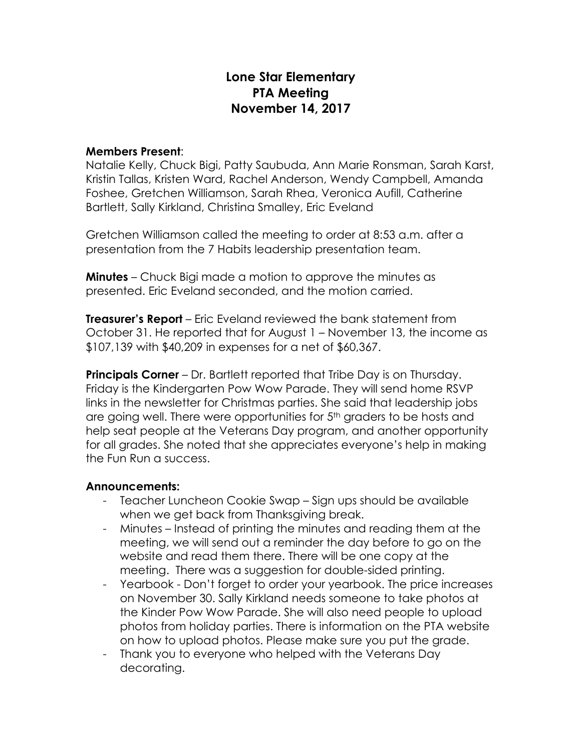# **Lone Star Elementary PTA Meeting November 14, 2017**

#### **Members Present**:

Natalie Kelly, Chuck Bigi, Patty Saubuda, Ann Marie Ronsman, Sarah Karst, Kristin Tallas, Kristen Ward, Rachel Anderson, Wendy Campbell, Amanda Foshee, Gretchen Williamson, Sarah Rhea, Veronica Aufill, Catherine Bartlett, Sally Kirkland, Christina Smalley, Eric Eveland

Gretchen Williamson called the meeting to order at 8:53 a.m. after a presentation from the 7 Habits leadership presentation team.

**Minutes** – Chuck Bigi made a motion to approve the minutes as presented. Eric Eveland seconded, and the motion carried.

**Treasurer's Report** – Eric Eveland reviewed the bank statement from October 31. He reported that for August 1 – November 13, the income as \$107,139 with \$40,209 in expenses for a net of \$60,367.

**Principals Corner** – Dr. Bartlett reported that Tribe Day is on Thursday. Friday is the Kindergarten Pow Wow Parade. They will send home RSVP links in the newsletter for Christmas parties. She said that leadership jobs are going well. There were opportunities for  $5<sup>th</sup>$  graders to be hosts and help seat people at the Veterans Day program, and another opportunity for all grades. She noted that she appreciates everyone's help in making the Fun Run a success.

#### **Announcements:**

- Teacher Luncheon Cookie Swap Sign ups should be available when we get back from Thanksgiving break.
- Minutes Instead of printing the minutes and reading them at the meeting, we will send out a reminder the day before to go on the website and read them there. There will be one copy at the meeting. There was a suggestion for double-sided printing.
- Yearbook Don't forget to order your yearbook. The price increases on November 30. Sally Kirkland needs someone to take photos at the Kinder Pow Wow Parade. She will also need people to upload photos from holiday parties. There is information on the PTA website on how to upload photos. Please make sure you put the grade.
- Thank you to everyone who helped with the Veterans Day decorating.